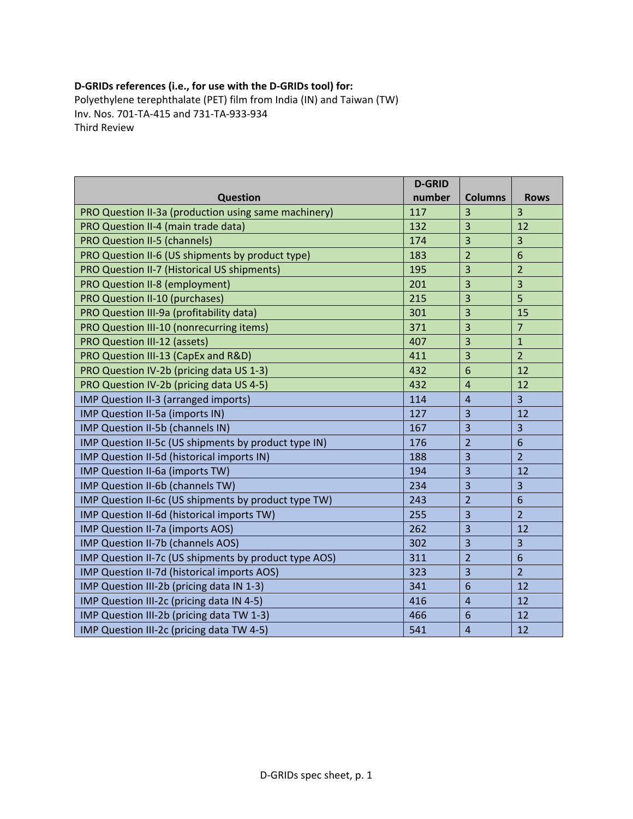## **D‐GRIDs references (i.e., for use with the D‐GRIDs tool) for:**

Polyethylene terephthalate (PET) film from India (IN) and Taiwan (TW) Inv. Nos. 701‐TA‐415 and 731‐TA‐933‐934 Third Review

|                                                       | <b>D-GRID</b> |                 |                 |
|-------------------------------------------------------|---------------|-----------------|-----------------|
| Question                                              | number        | <b>Columns</b>  | <b>Rows</b>     |
| PRO Question II-3a (production using same machinery)  | 117           | $\overline{3}$  | $\overline{3}$  |
| PRO Question II-4 (main trade data)                   | 132           | 3               | 12              |
| <b>PRO Question II-5 (channels)</b>                   | 174           | 3               | 3               |
| PRO Question II-6 (US shipments by product type)      | 183           | $\overline{2}$  | 6               |
| PRO Question II-7 (Historical US shipments)           | 195           | $\overline{3}$  | $\overline{2}$  |
| PRO Question II-8 (employment)                        | 201           | 3               | 3               |
| PRO Question II-10 (purchases)                        | 215           | $\overline{3}$  | 5               |
| PRO Question III-9a (profitability data)              | 301           | $\overline{3}$  | 15              |
| PRO Question III-10 (nonrecurring items)              | 371           | 3               | $\overline{7}$  |
| <b>PRO Question III-12 (assets)</b>                   | 407           | 3               | $\mathbf{1}$    |
| PRO Question III-13 (CapEx and R&D)                   | 411           | $\overline{3}$  | $\overline{2}$  |
| PRO Question IV-2b (pricing data US 1-3)              | 432           | 6               | 12              |
| PRO Question IV-2b (pricing data US 4-5)              | 432           | $\overline{4}$  | 12              |
| IMP Question II-3 (arranged imports)                  | 114           | $\overline{4}$  | $\overline{3}$  |
| IMP Question II-5a (imports IN)                       | 127           | $\overline{3}$  | 12              |
| IMP Question II-5b (channels IN)                      | 167           | $\overline{3}$  | $\overline{3}$  |
| IMP Question II-5c (US shipments by product type IN)  | 176           | $\overline{2}$  | $6\phantom{1}6$ |
| IMP Question II-5d (historical imports IN)            | 188           | $\overline{3}$  | $\overline{2}$  |
| IMP Question II-6a (imports TW)                       | 194           | 3               | 12              |
| IMP Question II-6b (channels TW)                      | 234           | 3               | 3               |
| IMP Question II-6c (US shipments by product type TW)  | 243           | $\overline{2}$  | $6\phantom{1}6$ |
| IMP Question II-6d (historical imports TW)            | 255           | 3               | $\overline{2}$  |
| IMP Question II-7a (imports AOS)                      | 262           | $\overline{3}$  | 12              |
| IMP Question II-7b (channels AOS)                     | 302           | $\overline{3}$  | $\overline{3}$  |
| IMP Question II-7c (US shipments by product type AOS) | 311           | $\overline{2}$  | $6\phantom{1}6$ |
| IMP Question II-7d (historical imports AOS)           | 323           | 3               | $\overline{2}$  |
| IMP Question III-2b (pricing data IN 1-3)             | 341           | 6               | 12              |
| IMP Question III-2c (pricing data IN 4-5)             | 416           | $\overline{4}$  | 12              |
| IMP Question III-2b (pricing data TW 1-3)             | 466           | $6\phantom{1}6$ | 12              |
| IMP Question III-2c (pricing data TW 4-5)             | 541           | $\overline{4}$  | 12              |